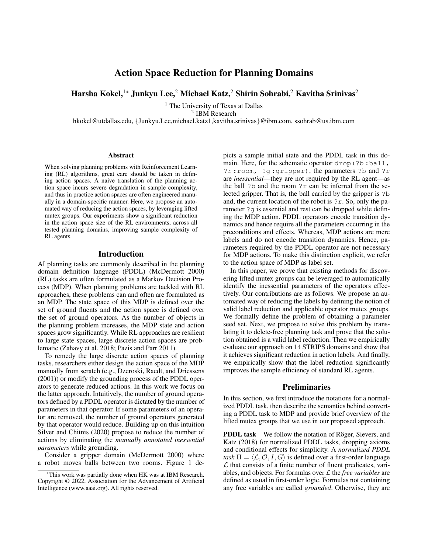# Action Space Reduction for Planning Domains

Harsha Kokel,<sup>1\*</sup> Junkyu Lee,<sup>2</sup> Michael Katz,<sup>2</sup> Shirin Sohrabi,<sup>2</sup> Kavitha Srinivas<sup>2</sup>

<sup>1</sup> The University of Texas at Dallas

2 IBM Research

hkokel@utdallas.edu, {Junkyu.Lee,michael.katz1,kavitha.srinivas}@ibm.com, ssohrab@us.ibm.com

#### Abstract

When solving planning problems with Reinforcement Learning (RL) algorithms, great care should be taken in defining action spaces. A naive translation of the planning action space incurs severe degradation in sample complexity, and thus in practice action spaces are often engineered manually in a domain-specific manner. Here, we propose an automated way of reducing the action spaces, by leveraging lifted mutex groups. Our experiments show a significant reduction in the action space size of the RL environments, across all tested planning domains, improving sample complexity of RL agents.

#### Introduction

AI planning tasks are commonly described in the planning domain definition language (PDDL) (McDermott 2000) (RL) tasks are often formulated as a Markov Decision Process (MDP). When planning problems are tackled with RL approaches, these problems can and often are formulated as an MDP. The state space of this MDP is defined over the set of ground fluents and the action space is defined over the set of ground operators. As the number of objects in the planning problem increases, the MDP state and action spaces grow significantly. While RL approaches are resilient to large state spaces, large discrete action spaces are problematic (Zahavy et al. 2018; Pazis and Parr 2011).

To remedy the large discrete action spaces of planning tasks, researchers either design the action space of the MDP manually from scratch (e.g., Dzeroski, Raedt, and Driessens (2001)) or modify the grounding process of the PDDL operators to generate reduced actions. In this work we focus on the latter approach. Intuitively, the number of ground operators defined by a PDDL operator is dictated by the number of parameters in that operator. If some parameters of an operator are removed, the number of ground operators generated by that operator would reduce. Building up on this intuition Silver and Chitnis (2020) propose to reduce the number of actions by eliminating the *manually annotated inessential parameters* while grounding.

Consider a gripper domain (McDermott 2000) where a robot moves balls between two rooms. Figure 1 depicts a sample initial state and the PDDL task in this domain. Here, for the schematic operator drop(?b :ball, ?r :room, ?g :gripper), the parameters ?b and ?r are *inessential*—they are not required by the RL agent—as the ball  $?b$  and the room  $?r$  can be inferred from the selected gripper. That is, the ball carried by the gripper is ?b and, the current location of the robot is ?r. So, only the parameter ?g is essential and rest can be dropped while defining the MDP action. PDDL operators encode transition dynamics and hence require all the parameters occurring in the preconditions and effects. Whereas, MDP actions are mere labels and do not encode transition dynamics. Hence, parameters required by the PDDL operator are not necessary for MDP actions. To make this distinction explicit, we refer to the action space of MDP as label set.

In this paper, we prove that existing methods for discovering lifted mutex groups can be leveraged to automatically identify the inessential parameters of the operators effectively. Our contributions are as follows. We propose an automated way of reducing the labels by defining the notion of valid label reduction and applicable operator mutex groups. We formally define the problem of obtaining a parameter seed set. Next, we propose to solve this problem by translating it to delete-free planning task and prove that the solution obtained is a valid label reduction. Then we empirically evaluate our approach on 14 STRIPS domains and show that it achieves significant reduction in action labels. And finally, we empirically show that the label reduction significantly improves the sample efficiency of standard RL agents.

#### **Preliminaries**

In this section, we first introduce the notations for a normalized PDDL task, then describe the semantics behind converting a PDDL task to MDP and provide brief overview of the lifted mutex groups that we use in our proposed approach.

PDDL task We follow the notation of Röger, Sievers, and Katz (2018) for normalized PDDL tasks, dropping axioms and conditional effects for simplicity. A *normalized PDDL task*  $\Pi = \langle \mathcal{L}, \mathcal{O}, I, G \rangle$  is defined over a first-order language  $\mathcal L$  that consists of a finite number of fluent predicates, variables, and objects. For formulas over L the *free variables* are defined as usual in first-order logic. Formulas not containing any free variables are called *grounded*. Otherwise, they are

<sup>\*</sup>This work was partially done when HK was at IBM Research. Copyright © 2022, Association for the Advancement of Artificial Intelligence (www.aaai.org). All rights reserved.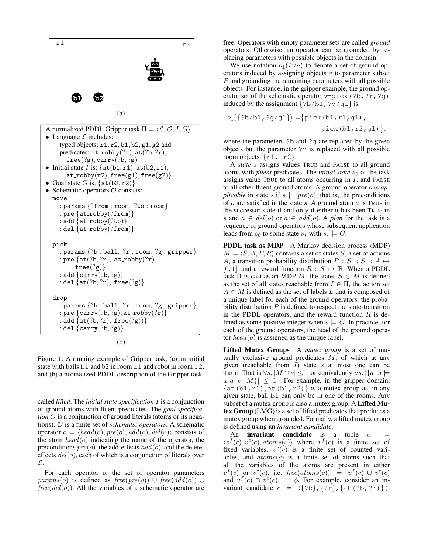

(a)

```
A normalized PDDL Gripper task \Pi = \langle \mathcal{L}, \mathcal{O}, I, G \rangle.
• Language \mathcal L includes:
     typed objects: r1, r2, b1, b2, g1, g2 and
     predicates: at\_robby(?r), at(?b, ?r),free(?g), carry(?b, ?g)• Initial state I is: \{at(b1, r1), at(b2, r1),at\_robby(r2), free(g1), free(g2)• Goal state G is: \{at(b2, r2)\}\• Schematic operators O consists:
  move
     : params {?from : room, ?to : room}
     : pre \{at\_robby('from)\}: add \{at\_robby(?to)\}: del \{at\_robby(\text{?from})\}pick
     : params \{?b : ball, ?r : room, ?g : gripper\}: pre \{at(?b, ?r), at\_robby(?r),\}free(?g): add \{carry(?b, ?g)\}: del \{at(?b, ?r), free(?g)\}drop
     : params \{?b : ball, ?r : room, ?g : gripper\}: pre \{carry(?b, ?g), at\_robby(?r)\}: add \{at(?b, ?r), free(?g))\}: del \{carry(?b, ?g)\}
```
(b)

Figure 1: A running example of Gripper task, (a) an initial state with balls b1 and b2 in room  $r1$  and robot in room  $r2$ , and (b) a normalized PDDL description of the Gripper task.

called *lifted*. The *initial state specification* I is a conjunction of ground atoms with fluent predicates. The *goal specification* G is a conjunction of ground literals (atoms or its negations). O is a finite set of *schematic operators*. A schematic operator  $o = \langle head(o), pre(o), add(o), del(o) \rangle$  consists of the atom  $head(o)$  indicating the name of the operator, the preconditions  $pre(o)$ , the add-effects  $add(o)$ , and the deleteeffects  $del(o)$ , each of which is a conjunction of literals over L.

For each operator  $o$ , the set of operator parameters params(o) is defined as  $free(pre(o)) \cup free(add(o)) \cup$  $free(det(o))$ . All the variables of a schematic operator are free. Operators with empty parameter sets are called *ground* operators. Otherwise, an operator can be grounded by replacing parameters with possible objects in the domain.

We use notation  $o_{\downarrow}(P/a)$  to denote a set of ground operators induced by assigning objects a to parameter subset P and grounding the remaining parameters with all possible objects. For instance, in the gripper example, the ground operator set of the schematic operator  $o = \text{pick}(?b, ?r, ?g)$ induced by the assignment {?b/b1,?g/g1} is

$$
o_{\downarrow}(\{?b/b1, ?g/g1\}) = \{pick(b1, r1, g1), \text{pick}(b1, r2, g1)\},
$$

where the parameters ?b and ?q are replaced by the given objects but the parameter  $2r$  is replaced with all possible room objects,  $\{r1, r2\}$ .

A *state* s assigns values TRUE and FALSE to all ground atoms with *fluent* predicates. The *initial state*  $s_0$  of the task assigns value TRUE to all atoms occurring in  $I$ , and FALSE to all other fluent ground atoms. A ground operator o is *applicable* in state s if  $s \models pre(o)$ , that is, the preconditions of  $o$  are satisfied in the state  $s$ . A ground atom  $a$  is TRUE in the successor state if and only if either it has been TRUE in s and  $a \notin del(o)$  or  $a \in add(o)$ . A *plan* for the task is a sequence of ground operators whose subsequent application leads from  $s_0$  to some state  $s_*$  with  $s_* \models G$ .

PDDL task as MDP A Markov decision process (MDP)  $M = \langle S, A, P, R \rangle$  contains a set of states S, a set of actions A, a transition probability distribution  $P : S \times S \times A \mapsto$ [0, 1], and a reward function  $R : S \mapsto \mathbb{R}$ . When a PDDL task  $\Pi$  is cast as an MDP M, the states  $S \in M$  is defined as the set of all states reachable from  $I \in \Pi$ , the action set  $A \in M$  is defined as the set of labels L that is composed of a unique label for each of the ground operators, the probability distribution  $P$  is defined to respect the state-transition in the PDDL operators, and the reward function  $R$  is defined as some positive integer when  $s \models G$ . In practice, for each of the ground operators, the head of the ground operator  $head(o)$  is assigned as the unique label.

Lifted Mutex Groups A *mutex group* is a set of mutually exclusive ground predicates  $M$ , of which at any given (reachable from  $I$ ) state  $s$  at most one can be TRUE. That is  $\forall s, |M \cap s| \leq 1$  or equivalently  $\forall s, |\{a \mid s \models$  $a, a \in M$ ]  $\leq 1$ . For example, in the gripper domain,  $\{at(b1, r1), at(b1, r2)\}\$  is a mutex group as, in any given state, ball b1 can only be in one of the rooms. Any subset of a mutex group is also a mutex group. A Lifted Mutex Group (LMG) is a set of lifted predicates that produces a mutex group when grounded. Formally, a lifted mutex group is defined using an *invariant candidate*.

An **invariant candidate** is a tuple  $c$  $\langle v^f(c), v^c(c), atoms(c) \rangle$  where  $v^f(c)$  is a finite set of fixed variables,  $v^c(c)$  is a finite set of counted variables, and  $atoms(c)$  is a finite set of atoms such that all the variables of the atoms are present in either  $v^f(c)$  or  $v^c(c)$ , i.e. free(atoms(c)) =  $v^f(c) \cup v^c(c)$ and  $v^f(c) \cap v^c(c) = \phi$ . For example, consider an invariant candidate  $c = \langle \{?b\}, \{?r\}, \{at(?b, ?r)\} \rangle$ .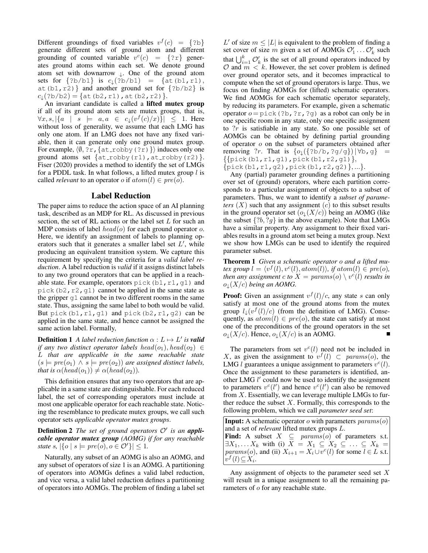Different groundings of fixed variables  $v^f(c) = \{?b\}$ generate different sets of ground atom and different grounding of counted variable  $v^{c}(c) = \{?r\}$  generates ground atoms within each set. We denote ground atom set with downarrow  $\downarrow$ . One of the ground atom sets for  ${?b/b1}$  is  $c_{\downarrow}(?b/b1) = {at(b1, r1)}$ , at (b1, r2) } and another ground set for  $\{?b/b2\}$  is  $c_{\downarrow}(?b/b2) = \{at(b2, r1), at(b2, r2)\}.$ 

An invariant candidate is called a lifted mutex group if all of its ground atom sets are mutex groups, that is,  $\forall x, s, |\{a \mid s \models a, a \in c_{\downarrow}(v^f(c)/x)\}| \leq 1.$  Here without loss of generality, we assume that each LMG has only one atom. If an LMG does not have any fixed variable, then it can generate only one ground mutex group. For example,  $\langle \emptyset, ?r, \{at\_robby(?r)\}\rangle$  induces only one ground atoms set  $\{at\_robby(r1),at\_robby(r2)\}.$ Fiser (2020) provides a method to identify the set of LMGs for a PDDL task. In what follows, a lifted mutex group  $l$  is called *relevant* to an operator *o* if  $atom(l) \in pre(o)$ .

## Label Reduction

The paper aims to reduce the action space of an AI planning task, described as an MDP for RL. As discussed in previous section, the set of RL actions or the label set  $L$  for such an MDP consists of label  $head(o)$  for each ground operator o. Here, we identify an assignment of labels to planning operators such that it generates a smaller label set  $L'$ , while producing an equivalent transition system. We capture this requirement by specifying the criteria for a *valid label reduction*. A label reduction is *valid* if it assigns distinct labels to any two ground operators that can be applied in a reachable state. For example, operators pick (b1, r1, g1) and pick(b2,r2,g1) cannot be applied in the same state as the gripper g1 cannot be in two different rooms in the same state. Thus, assigning the same label to both would be valid. But pick(b1,  $r1$ , q1) and pick(b2,  $r1$ , q2) can be applied in the same state, and hence cannot be assigned the same action label. Formally,

**Definition 1** A label reduction function  $\alpha : L \mapsto L'$  is **valid** *if any two distinct operator labels head*( $o_1$ ), head( $o_2$ )  $\in$ L *that are applicable in the same reachable state*  $(s \models pre(o_1) \land s \models pre(o_2))$  *are assigned distinct labels, that is*  $\alpha(head(o_1)) \neq \alpha(head(o_2))$ *.* 

This definition ensures that any two operators that are applicable in a same state are distinguishable. For each reduced label, the set of corresponding operators must include at most one applicable operator for each reachable state. Noticing the resemblance to predicate mutex groups, we call such operator sets *applicable operator mutex groups*.

Definition 2 *The set of ground operators* O′ *is an applicable operator mutex group (AOMG) if for any reachable state*  $s$ ,  $|\{o \mid s \models pre(o), o \in \mathcal{O}'\}| \leq 1$ .

Naturally, any subset of an AOMG is also an AOMG, and any subset of operators of size 1 is an AOMG. A partitioning of operators into AOMGs defines a valid label reduction, and vice versa, a valid label reduction defines a partitioning of operators into AOMGs. The problem of finding a label set

L' of size  $m \leq |L|$  is equivalent to the problem of finding a set cover of size m given a set of AOMGs  $\mathcal{O}'_1 \dots \mathcal{O}'_k$  such that  $\bigcup_{i=1}^{k} \mathcal{O}'_k$  is the set of all ground operators induced by  $\mathcal O$  and  $m < k$ . However, the set cover problem is defined over ground operator sets, and it becomes impractical to compute when the set of ground operators is large. Thus, we focus on finding AOMGs for (lifted) schematic operators. We find AOMGs for each schematic operator separately, by reducing its parameters. For example, given a schematic operator  $o = \text{pick}(?b, ?r, ?q)$  as a robot can only be in one specific room in any state, only one specific assignment to ?r is satisfiable in any state. So one possible set of AOMGs can be obtained by defining partial grounding of operator o on the subset of parameters obtained after removing ?r. That is  $\{o_{\downarrow}(\{?b/b, ?g/g\})|\forall b, g\}$  =  $\{$ [pick(b1, r1, g1), pick(b1, r2, g1) $\}$ ,  $\{pick(b1, r1, g2), pick(b1, r2, g2)\}, ...\}.$ 

Any (partial) parameter grounding defines a partitioning over set of (ground) operators, where each partition corresponds to a particular assignment of objects to a subset of parameters. Thus, we want to identify a *subset of parameters*  $(X)$  such that any assignment  $(c)$  to this subset results in the ground operator set  $(o_{\perp}(X/c))$  being an AOMG (like the subset  $\{?b, ?g\}$  in the above example). Note that LMGs have a similar property. Any assignment to their fixed variables results in a ground atom set being a mutex group. Next we show how LMGs can be used to identify the required parameter subset.

Theorem 1 *Given a schematic operator* o *and a lifted mutex group*  $l = \langle v^f(l), v^c(l), atom(l) \rangle$ *, if atom* $(l) \in pre(o)$ *, then any assignment*  $c$  to  $X = \mathit{params}(o) \setminus v^{c}(l)$  *results in*  $o_{\downarrow}(X/c)$  *being an AOMG.* 

**Proof:** Given an assignment  $v^f(l)/c$ , any state s can only satisfy at most one of the ground atoms from the mutex group  $l_{\downarrow}(v^{f}(l)/c)$  (from the definition of LMG). Consequently, as  $atom(l) \in pre(o)$ , the state can satisfy at most one of the preconditions of the ground operators in the set  $o_{\downarrow}(X/c)$ . Hence,  $o_{\downarrow}(X/c)$  is an AOMG.

The parameters from set  $v^{c}(l)$  need not be included in X, as given the assignment to  $v^f(l) \subset params(o)$ , the LMG *l* guarantees a unique assignment to parameters  $v^{c}(l)$ . Once the assignment to these parameters is identified, another LMG l' could now be used to identify the assignment to parameters  $v^c(l')$  and hence  $v^c(l')$  can also be removed from  $X$ . Essentially, we can leverage multiple LMGs to further reduce the subset  $X$ . Formally, this corresponds to the following problem, which we call *parameter seed set*:

**Input:** A schematic operator  $o$  with parameters  $params(o)$ and a set of *relevant* lifted mutex groups L. Find: A subset  $X \subseteqq$  params(o) of parameters s.t.  $\exists X_1, \ldots X_k$  with (i)  $X = X_1 \subseteq X_2 \subseteq \ldots \subseteq X_k =$ *params*(*o*), and (ii)  $X_{i+1} = X_i \cup v^c(l)$  for some  $l \in L$  s.t.  $v^f(l) \subseteq X_i$ .

Any assignment of objects to the parameter seed set  $X$ will result in a unique assignment to all the remaining parameters of  $o$  for any reachable state.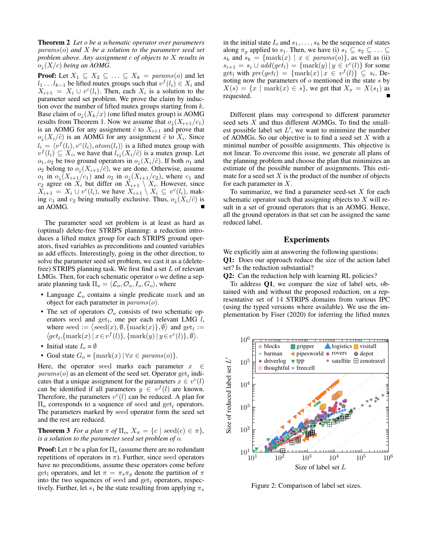Theorem 2 *Let* o *be a schematic operator over parameters* params(o) *and* X *be a solution to the parameter seed set problem above. Any assignment* c *of objects to* X *results in*  $o_{\perp}(X/c)$  *being an AOMG.* 

**Proof:** Let  $X_1 \subseteq X_2 \subseteq \ldots \subseteq X_k = \text{params}(o)$  and let  $l_1 \dots l_{k-1}$  be lifted mutex groups such that  $v^f(l_i) \in X_i$  and  $X_{i+1} = X_i \cup v^c(l_i)$ . Then, each  $X_i$  is a solution to the parameter seed set problem. We prove the claim by induction over the number of lifted mutex groups starting from  $k$ . Base claim of  $o_{\downarrow}(X_k/x)$  (one lifted mutex group) is AOMG results from Theorem 1. Now we assume that  $o_{\downarrow}(X_{i+1}/c_1)$ is an AOMG for any assignment  $\hat{c}$  to  $X_{i+1}$  and prove that  $o_{\downarrow}(X_i/\tilde{c})$  is an AOMG for any assignment  $\tilde{c}$  to  $X_i$ . Since  $l_i = \langle v^f(l_i), v^c(l_i), atom(l_i) \rangle$  is a lifted mutex group with  $v^f(l_i) \subseteq X_i$ , we have that  $l_i \downarrow (X_i/\tilde{c})$  is a mutex group. Let  $o_1, o_2$  be two ground operators in  $o_{\downarrow}(X_i/\tilde{c})$ . If both  $o_1$  and  $o_2$  belong to  $o_{\downarrow}(X_{i+1}/\hat{c})$ , we are done. Otherwise, assume  $o_1$  in  $o_{\downarrow}(X_{i+1}/c_1)$  and  $o_2$  in  $o_{\downarrow}(X_{i+1}/c_2)$ , where  $c_1$  and  $c_2$  agree on  $X_i$  but differ on  $X_{i+1} \setminus X_i$ . However, since  $X_{i+1} = X_i \cup v^c(l_i)$ , we have  $X_{i+1} \setminus X_i \subseteq v^c(l_i)$ , making  $c_1$  and  $c_2$  being mutually exclusive. Thus,  $o_{\downarrow}(X_i/\tilde{c})$  is an AOMG.

The parameter seed set problem is at least as hard as (optimal) delete-free STRIPS planning: a reduction introduces a lifted mutex group for each STRIPS ground operators, fixed variables as preconditions and counted variables as add effects. Interestingly, going in the other direction, to solve the parameter seed set problem, we cast it as a (deletefree) STRIPS planning task. We first find a set  $L$  of relevant LMGs. Then, for each schematic operator  $o$  we define a separate planning task  $\Pi_o = \langle \mathcal{L}_o, O_o, I_o, G_o \rangle$ , where

- Language  $\mathcal{L}_o$  contains a single predicate mark and an object for each parameter in  $params(o)$ .
- The set of operators  $\mathcal{O}_o$  consists of two schematic operators seed and  $get_l$ , one per each relevant LMG  $l$ , where seed  $:= \langle \text{seed}(x), \emptyset, \{\text{mark}(x)\}, \emptyset \rangle$  and  $\text{get}_l :=$  $\langle get_l, \{\text{mark}(x) \mid x \in v^f(l)\}, \{\text{mark}(y) \mid y \in v^c(l)\}, \emptyset \rangle.$
- Initial state  $I_o = \emptyset$
- Goal state  $G_o = \{\text{mark}(x) | \forall x \in \text{params}(o)\}.$

Here, the operator seed marks each parameter  $x \in \mathbb{R}$  $params(o)$  as an element of the seed set. Operator  $get_l$  indicates that a unique assignment for the parameters  $x \in v^{c}(l)$ can be identified if all parameters  $y \in v<sup>f</sup>(l)$  are known. Therefore, the parameters  $v^{c}(l)$  can be reduced. A plan for  $\Pi_{\alpha}$  corresponds to a sequence of seed and get, operators. The parameters marked by seed operator form the seed set and the rest are reduced.

**Theorem 3** *For a plan*  $\pi$  *of*  $\Pi_o$ ,  $X_{\pi} = \{c \mid \text{seed}(c) \in \pi\},$ *is a solution to the parameter seed set problem of* o*.*

**Proof:** Let  $\pi$  be a plan for  $\Pi_0$  (assume there are no redundant repetitions of operators in  $\pi$ ). Further, since seed operators have no preconditions, assume these operators come before get<sub>l</sub> operators, and let  $\pi = \pi_s \pi_q$  denote the partition of  $\pi$ into the two sequences of seed and  $get_l$  operators, respectively. Further, let  $s_1$  be the state resulting from applying  $\pi_s$ 

in the initial state  $I_0$  and  $s_1, \ldots, s_k$  be the sequence of states along  $\pi_a$  applied to  $s_1$ . Then, we have (i)  $s_1 \subseteq s_2 \subseteq \ldots \subseteq$  $s_k$  and  $s_k = \{\text{mark}(x) \mid x \in \text{params}(o)\}\)$ , as well as (ii)  $s_{i+1} = s_i \cup \text{add}(\text{get}_l) = \{\text{mark}(y) | y \in v^c(l)\}\)$  for some get<sub>l</sub> with  $pre(get_l) = {\maxk(x) | x \in v^f(l)} \subseteq s_i$ . Denoting now the parameters of  $o$  mentioned in the state  $s$  by  $X(s) = \{x \mid \text{mark}(x) \in s\}$ , we get that  $X_{\pi} = X(s_1)$  as requested.

Different plans may correspond to different parameter seed sets X and thus different AOMGs. To find the smallest possible label set  $L'$ , we want to minimize the number of AOMGs. So our objective is to find a seed set  $X$  with a minimal number of possible assignments. This objective is not linear. To overcome this issue, we generate all plans of the planning problem and choose the plan that minimizes an estimate of the possible number of assignments. This estimate for a seed set  $X$  is the product of the number of objects for each parameter in  $X$ .

To summarize, we find a parameter seed-set  $X$  for each schematic operator such that assigning objects to  $X$  will result in a set of ground operators that is an AOMG. Hence, all the ground operators in that set can be assigned the same reduced label.

## Experiments

We explicitly aim at answering the following questions: Q1: Does our approach reduce the size of the action label set? Is the reduction substantial?

Q2: Can the reduction help with learning RL policies?

To address Q1, we compare the size of label sets, obtained with and without the proposed reduction, on a representative set of 14 STRIPS domains from various IPC (using the typed versions where available). We use the implementation by Fiser (2020) for inferring the lifted mutex



Figure 2: Comparison of label set sizes.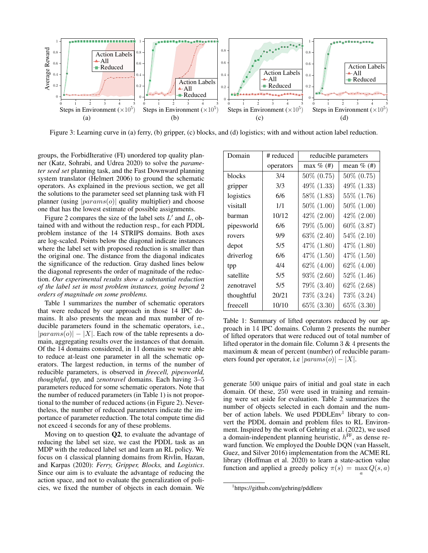

Figure 3: Learning curve in (a) ferry, (b) gripper, (c) blocks, and (d) logistics; with and without action label reduction.

groups, the ForbidIterative (FI) unordered top quality planner (Katz, Sohrabi, and Udrea 2020) to solve the *parameter seed set* planning task, and the Fast Downward planning system translator (Helmert 2006) to ground the schematic operators. As explained in the previous section, we get all the solutions to the parameter seed set planning task with FI planner (using  $|params(o)|$  quality multiplier) and choose one that has the lowest estimate of possible assignments.

Figure 2 compares the size of the label sets  $L'$  and  $L$ , obtained with and without the reduction resp., for each PDDL problem instance of the 14 STRIPS domains. Both axes are log-scaled. Points below the diagonal indicate instances where the label set with proposed reduction is smaller than the original one. The distance from the diagonal indicates the significance of the reduction. Gray dashed lines below the diagonal represents the order of magnitude of the reduction. *Our experimental results show a substantial reduction of the label set in most problem instances, going beyond* 2 *orders of magnitude on some problems.*

Table 1 summarizes the number of schematic operators that were reduced by our approach in those 14 IPC domains. It also presents the mean and max number of reducible parameters found in the schematic operators, i.e.,  $|params(o)| - |X|$ . Each row of the table represents a domain, aggregating results over the instances of that domain. Of the 14 domains considered, in 11 domains we were able to reduce at-least one parameter in all the schematic operators. The largest reduction, in terms of the number of reducible parameters, is observed in *freecell, pipesworld, thoughtful*, *tpp*, and *zenotravel* domains. Each having 3–5 parameters reduced for some schematic operators. Note that the number of reduced parameters (in Table 1) is not proportional to the number of reduced actions (in Figure 2). Nevertheless, the number of reduced parameters indicate the importance of parameter reduction. The total compute time did not exceed 4 seconds for any of these problems.

Moving on to question Q2, to evaluate the advantage of reducing the label set size, we cast the PDDL task as an MDP with the reduced label set and learn an RL policy. We focus on 4 classical planning domains from Rivlin, Hazan, and Karpas (2020): *Ferry, Gripper, Blocks,* and *Logistics*. Since our aim is to evaluate the advantage of reducing the action space, and not to evaluate the generalization of policies, we fixed the number of objects in each domain. We

| Domain     | # reduced | reducible parameters |                 |
|------------|-----------|----------------------|-----------------|
|            | operators | max $\%$ (#)         | mean $\%$ (#)   |
| blocks     | 3/4       | 50\% (0.75)          | $50\% (0.75)$   |
| gripper    | 3/3       | 49% (1.33)           | $49\%$ $(1.33)$ |
| logistics  | 6/6       | 58% (1.83)           | 55\% (1.76)     |
| visitall   | 1/1       | $50\%$ $(1.00)$      | $50\%$ $(1.00)$ |
| barman     | 10/12     | $42\%$ $(2.00)$      | $42\% (2.00)$   |
| pipesworld | 6/6       | 79\% (5.00)          | $60\%$ $(3.87)$ |
| rovers     | 9/9       | $63\% (2.40)$        | $54\% (2.10)$   |
| depot      | 5/5       | 47\% (1.80)          | 47\% (1.80)     |
| driverlog  | 6/6       | 47% (1.50)           | 47\% $(1.50)$   |
| tpp        | 4/4       | 62\% (4.00)          | $62\%$ $(4.00)$ |
| satellite  | 5/5       | $93\% (2.60)$        | $52\%$ $(1.46)$ |
| zenotravel | 5/5       | 79% (3.40)           | $62\% (2.68)$   |
| thoughtful | 20/21     | 73\% (3.24)          | 73\% (3.24)     |
| freecell   | 10/10     | 65\% (3.30)          | 65\% (3.30)     |

Table 1: Summary of lifted operators reduced by our approach in 14 IPC domains. Column 2 presents the number of lifted operators that were reduced out of total number of lifted operator in the domain file. Column 3 & 4 presents the maximum & mean of percent (number) of reducible parameters found per operator, i.e  $|params(o)| - |X|$ .

generate 500 unique pairs of initial and goal state in each domain. Of these, 250 were used in training and remaining were set aside for evaluation. Table 2 summarizes the number of objects selected in each domain and the number of action labels. We used PDDLEnv<sup>1</sup> library to convert the PDDL domain and problem files to RL Environment. Inspired by the work of Gehring et al. (2022), we used a domain-independent planning heuristic,  $h^{\text{FF}}$ , as dense reward function. We employed the Double DQN (van Hasselt, Guez, and Silver 2016) implementation from the ACME RL library (Hoffman et al. 2020) to learn a state-action value function and applied a greedy policy  $\pi(s) = \max_{a} Q(s, a)$ 

<sup>1</sup> https://github.com/gehring/pddlenv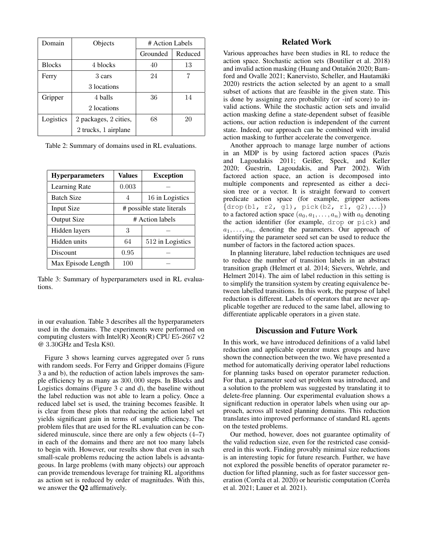| Domain        | Objects               | # Action Labels |         |
|---------------|-----------------------|-----------------|---------|
|               |                       | Grounded        | Reduced |
| <b>Blocks</b> | 4 blocks              | 40              | 13      |
| Ferry         | 3 cars                | 24              |         |
|               | 3 locations           |                 |         |
| Gripper       | 4 balls               | 36              | 14      |
|               | 2 locations           |                 |         |
| Logistics     | 2 packages, 2 cities, | 68              | 20      |
|               | 2 trucks, 1 airplane  |                 |         |

Table 2: Summary of domains used in RL evaluations.

| <b>Hyperparameters</b> | <b>Values</b>             | <b>Exception</b> |
|------------------------|---------------------------|------------------|
| Learning Rate          | 0.003                     |                  |
| <b>Batch Size</b>      | 4                         | 16 in Logistics  |
| <b>Input Size</b>      | # possible state literals |                  |
| Output Size            | # Action labels           |                  |
| Hidden layers          | 3                         |                  |
| Hidden units           | 64                        | 512 in Logistics |
| Discount               | 0.95                      |                  |
| Max Episode Length     | 100                       |                  |

Table 3: Summary of hyperparameters used in RL evaluations.

in our evaluation. Table 3 describes all the hyperparameters used in the domains. The experiments were performed on computing clusters with Intel(R) Xeon(R) CPU E5-2667 v2 @ 3.30GHz and Tesla K80.

Figure 3 shows learning curves aggregated over 5 runs with random seeds. For Ferry and Gripper domains (Figure 3 a and b), the reduction of action labels improves the sample efficiency by as many as 300, 000 steps. In Blocks and Logistics domains (Figure 3 c and d), the baseline without the label reduction was not able to learn a policy. Once a reduced label set is used, the training becomes feasible. It is clear from these plots that reducing the action label set yields significant gain in terms of sample efficiency. The problem files that are used for the RL evaluation can be considered minuscule, since there are only a few objects (4–7) in each of the domains and there are not too many labels to begin with. However, our results show that even in such small-scale problems reducing the action labels is advantageous. In large problems (with many objects) our approach can provide tremendous leverage for training RL algorithms as action set is reduced by order of magnitudes. With this, we answer the Q2 affirmatively.

## Related Work

Various approaches have been studies in RL to reduce the action space. Stochastic action sets (Boutilier et al. 2018) and invalid action masking (Huang and Ontañón 2020; Bamford and Ovalle 2021; Kanervisto, Scheller, and Hautamäki 2020) restricts the action selected by an agent to a small subset of actions that are feasible in the given state. This is done by assigning zero probability (or -inf score) to invalid actions. While the stochastic action sets and invalid action masking define a state-dependent subset of feasible actions, our action reduction is independent of the current state. Indeed, our approach can be combined with invalid action masking to further accelerate the convergence.

Another approach to manage large number of actions in an MDP is by using factored action spaces (Pazis and Lagoudakis 2011; Geißer, Speck, and Keller 2020; Guestrin, Lagoudakis, and Parr 2002). With factored action space, an action is decomposed into multiple components and represented as either a decision tree or a vector. It is straight forward to convert predicate action space (for example, gripper actions  $\{ \text{drop}(b1, r2, g1), \text{pick}(b2, r1, g2), \ldots \})$ to a factored action space  $(a_0, a_1, \ldots, a_n)$  with  $a_0$  denoting the action identifier (for example, drop or pick) and  $a_1, \ldots, a_n$ , denoting the parameters. Our approach of identifying the parameter seed set can be used to reduce the number of factors in the factored action spaces.

In planning literature, label reduction techniques are used to reduce the number of transition labels in an abstract transition graph (Helmert et al. 2014; Sievers, Wehrle, and Helmert 2014). The aim of label reduction in this setting is to simplify the transition system by creating equivalence between labelled transitions. In this work, the purpose of label reduction is different. Labels of operators that are never applicable together are reduced to the same label, allowing to differentiate applicable operators in a given state.

## Discussion and Future Work

In this work, we have introduced definitions of a valid label reduction and applicable operator mutex groups and have shown the connection between the two. We have presented a method for automatically deriving operator label reductions for planning tasks based on operator parameter reduction. For that, a parameter seed set problem was introduced, and a solution to the problem was suggested by translating it to delete-free planning. Our experimental evaluation shows a significant reduction in operator labels when using our approach, across all tested planning domains. This reduction translates into improved performance of standard RL agents on the tested problems.

Our method, however, does not guarantee optimality of the valid reduction size, even for the restricted case considered in this work. Finding provably minimal size reductions is an interesting topic for future research. Further, we have not explored the possible benefits of operator parameter reduction for lifted planning, such as for faster successor generation (Corrêa et al. 2020) or heuristic computation (Corrêa et al. 2021; Lauer et al. 2021).